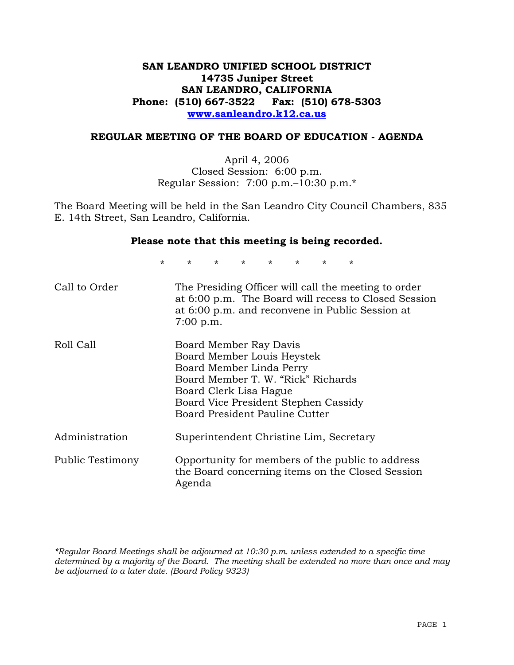# **SAN LEANDRO UNIFIED SCHOOL DISTRICT 14735 Juniper Street SAN LEANDRO, CALIFORNIA Phone: (510) 667-3522 Fax: (510) 678-5303 www.sanleandro.k12.ca.us**

## **REGULAR MEETING OF THE BOARD OF EDUCATION - AGENDA**

April 4, 2006 Closed Session: 6:00 p.m. Regular Session: 7:00 p.m.–10:30 p.m.\*

The Board Meeting will be held in the San Leandro City Council Chambers, 835 E. 14th Street, San Leandro, California.

#### **Please note that this meeting is being recorded.**

\* \* \* \* \* \* \* \*

| Call to Order    | The Presiding Officer will call the meeting to order<br>at 6:00 p.m. The Board will recess to Closed Session<br>at 6:00 p.m. and reconvene in Public Session at<br>$7:00$ p.m.                                             |
|------------------|----------------------------------------------------------------------------------------------------------------------------------------------------------------------------------------------------------------------------|
| Roll Call        | Board Member Ray Davis<br>Board Member Louis Heystek<br>Board Member Linda Perry<br>Board Member T. W. "Rick" Richards<br>Board Clerk Lisa Hague<br>Board Vice President Stephen Cassidy<br>Board President Pauline Cutter |
| Administration   | Superintendent Christine Lim, Secretary                                                                                                                                                                                    |
| Public Testimony | Opportunity for members of the public to address<br>the Board concerning items on the Closed Session<br>Agenda                                                                                                             |

*\*Regular Board Meetings shall be adjourned at 10:30 p.m. unless extended to a specific time determined by a majority of the Board. The meeting shall be extended no more than once and may be adjourned to a later date. (Board Policy 9323)*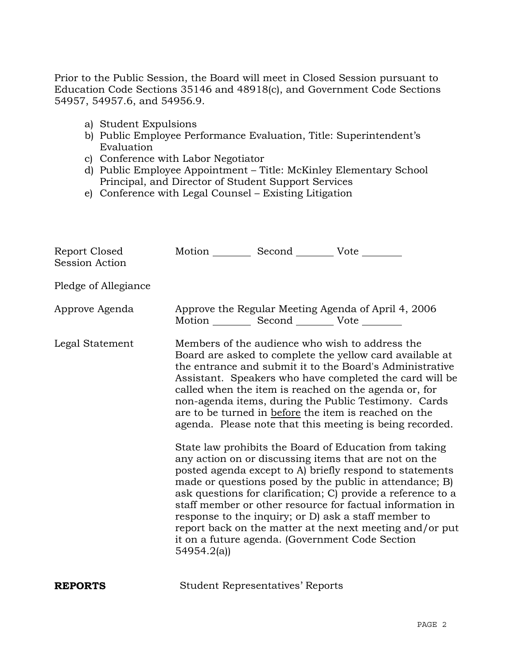Prior to the Public Session, the Board will meet in Closed Session pursuant to Education Code Sections 35146 and 48918(c), and Government Code Sections 54957, 54957.6, and 54956.9.

- a) Student Expulsions
- b) Public Employee Performance Evaluation, Title: Superintendent's Evaluation
- c) Conference with Labor Negotiator
- d) Public Employee Appointment Title: McKinley Elementary School Principal, and Director of Student Support Services
- e) Conference with Legal Counsel Existing Litigation

| Report Closed<br>Session Action | Motion __________ Second __________ Vote ________     |                                         |                                                                                                                                                                                                                                                                                                                                                                                                                                                                                                                                                                                                                                                                                                                                                                                                                                                                                                                                                                                                                        |
|---------------------------------|-------------------------------------------------------|-----------------------------------------|------------------------------------------------------------------------------------------------------------------------------------------------------------------------------------------------------------------------------------------------------------------------------------------------------------------------------------------------------------------------------------------------------------------------------------------------------------------------------------------------------------------------------------------------------------------------------------------------------------------------------------------------------------------------------------------------------------------------------------------------------------------------------------------------------------------------------------------------------------------------------------------------------------------------------------------------------------------------------------------------------------------------|
| Pledge of Allegiance            |                                                       |                                         |                                                                                                                                                                                                                                                                                                                                                                                                                                                                                                                                                                                                                                                                                                                                                                                                                                                                                                                                                                                                                        |
| Approve Agenda                  | Motion ___________ Second ____________ Vote _________ |                                         | Approve the Regular Meeting Agenda of April 4, 2006                                                                                                                                                                                                                                                                                                                                                                                                                                                                                                                                                                                                                                                                                                                                                                                                                                                                                                                                                                    |
| Legal Statement                 | 54954.2(a)                                            |                                         | Members of the audience who wish to address the<br>Board are asked to complete the yellow card available at<br>the entrance and submit it to the Board's Administrative<br>Assistant. Speakers who have completed the card will be<br>called when the item is reached on the agenda or, for<br>non-agenda items, during the Public Testimony. Cards<br>are to be turned in before the item is reached on the<br>agenda. Please note that this meeting is being recorded.<br>State law prohibits the Board of Education from taking<br>any action on or discussing items that are not on the<br>posted agenda except to A) briefly respond to statements<br>made or questions posed by the public in attendance; B)<br>ask questions for clarification; C) provide a reference to a<br>staff member or other resource for factual information in<br>response to the inquiry; or D) ask a staff member to<br>report back on the matter at the next meeting and/or put<br>it on a future agenda. (Government Code Section |
| <b>REPORTS</b>                  |                                                       | <b>Student Representatives' Reports</b> |                                                                                                                                                                                                                                                                                                                                                                                                                                                                                                                                                                                                                                                                                                                                                                                                                                                                                                                                                                                                                        |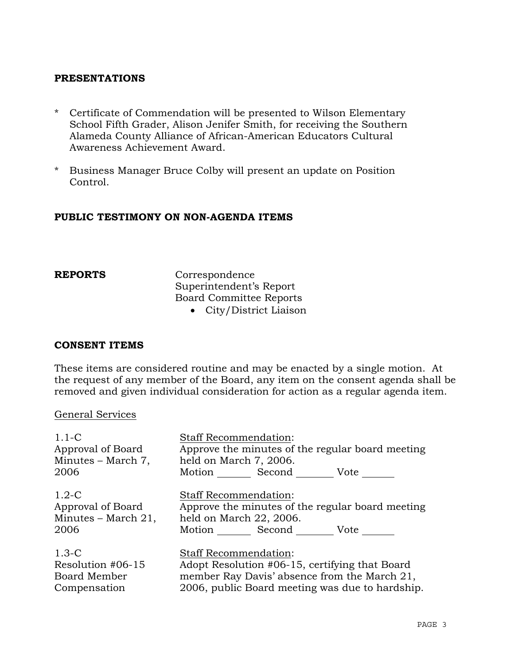# **PRESENTATIONS**

- \* Certificate of Commendation will be presented to Wilson Elementary School Fifth Grader, Alison Jenifer Smith, for receiving the Southern Alameda County Alliance of African-American Educators Cultural Awareness Achievement Award.
- \* Business Manager Bruce Colby will present an update on Position Control.

# **PUBLIC TESTIMONY ON NON-AGENDA ITEMS**

**REPORTS** Correspondence Superintendent's Report Board Committee Reports

• City/District Liaison

## **CONSENT ITEMS**

These items are considered routine and may be enacted by a single motion. At the request of any member of the Board, any item on the consent agenda shall be removed and given individual consideration for action as a regular agenda item.

#### General Services

| $1.1-C$             | <b>Staff Recommendation:</b>                     |
|---------------------|--------------------------------------------------|
| Approval of Board   | Approve the minutes of the regular board meeting |
| Minutes - March 7,  | held on March 7, 2006.                           |
| 2006                | Motion Second Vote                               |
| $1.2-C$             | Staff Recommendation:                            |
| Approval of Board   | Approve the minutes of the regular board meeting |
| Minutes – March 21, | held on March 22, 2006.                          |
| 2006                | Motion Second Vote                               |
| $1.3-C$             | Staff Recommendation:                            |
| Resolution #06-15   | Adopt Resolution #06-15, certifying that Board   |
| Board Member        | member Ray Davis' absence from the March 21,     |
| Compensation        | 2006, public Board meeting was due to hardship.  |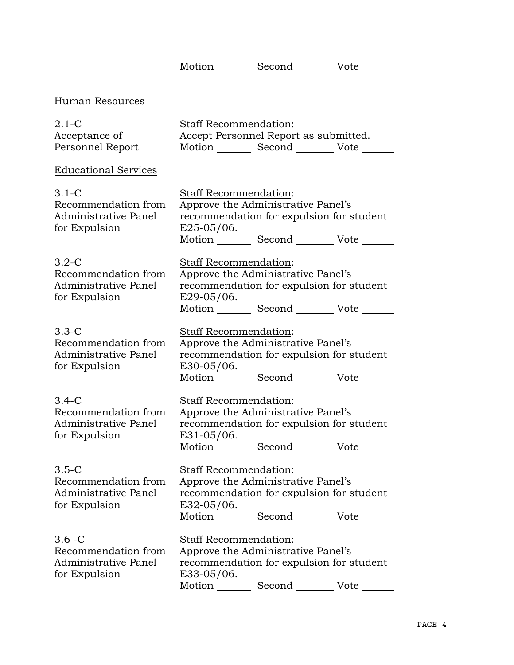Motion Second Vote \_\_\_\_\_\_

# Human Resources

| $2.1-C$          | <b>Staff Recommendation:</b> |                                       |      |
|------------------|------------------------------|---------------------------------------|------|
| Acceptance of    |                              | Accept Personnel Report as submitted. |      |
| Personnel Report | Motion                       | Second                                | Vote |

# Educational Services

| $3.1-C$<br>Recommendation from<br>Administrative Panel<br>for Expulsion          | <b>Staff Recommendation:</b><br>Approve the Administrative Panel's<br>recommendation for expulsion for student<br>$E25-05/06.$<br>Motion _________ Second __________ Vote _______ |
|----------------------------------------------------------------------------------|-----------------------------------------------------------------------------------------------------------------------------------------------------------------------------------|
| $3.2-C$<br>Recommendation from<br>Administrative Panel<br>for Expulsion          | Staff Recommendation:<br>Approve the Administrative Panel's<br>recommendation for expulsion for student<br>E29-05/06.<br>Motion _________ Second __________ Vote _______          |
| $3.3-C$<br>Recommendation from<br><b>Administrative Panel</b><br>for Expulsion   | Staff Recommendation:<br>Approve the Administrative Panel's<br>recommendation for expulsion for student<br>$E30-05/06.$<br>Motion Second Vote                                     |
| $3.4-C$<br>Recommendation from<br>Administrative Panel<br>for Expulsion          | Staff Recommendation:<br>Approve the Administrative Panel's<br>recommendation for expulsion for student<br>E31-05/06.<br>Motion _________ Second __________ Vote _______          |
| $3.5-C$<br>Recommendation from<br>Administrative Panel<br>for Expulsion          | Staff Recommendation:<br>Approve the Administrative Panel's<br>recommendation for expulsion for student<br>E32-05/06.<br>Motion _________ Second __________ Vote _______          |
| $3.6 - C$<br>Recommendation from<br><b>Administrative Panel</b><br>for Expulsion | <b>Staff Recommendation:</b><br>Approve the Administrative Panel's<br>recommendation for expulsion for student<br>E33-05/06.<br>Motion Second Vote                                |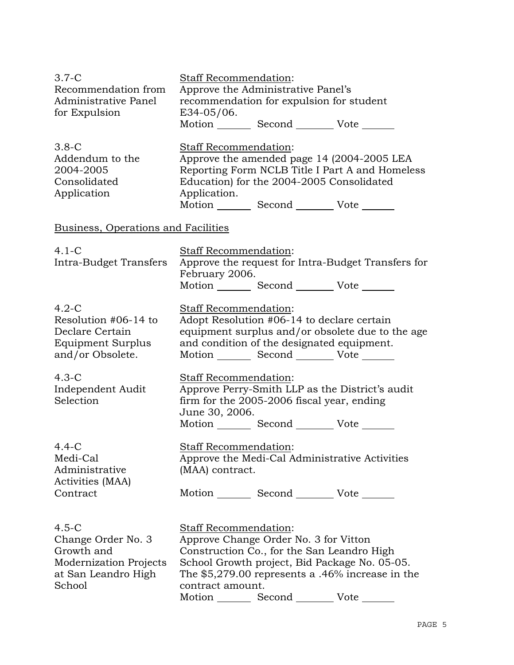| $3.7-C$<br>Recommendation from<br>Administrative Panel<br>for Expulsion                                | <b>Staff Recommendation:</b><br>Approve the Administrative Panel's<br>recommendation for expulsion for student<br>E34-05/06.<br>Motion _________ Second __________ Vote _______                                                                              |
|--------------------------------------------------------------------------------------------------------|--------------------------------------------------------------------------------------------------------------------------------------------------------------------------------------------------------------------------------------------------------------|
| $3.8-C$<br>Addendum to the<br>2004-2005<br>Consolidated<br>Application                                 | Staff Recommendation:<br>Approve the amended page 14 (2004-2005 LEA<br>Reporting Form NCLB Title I Part A and Homeless<br>Education) for the 2004-2005 Consolidated<br>Application.<br>Motion _________ Second __________ Vote _______                       |
| Business, Operations and Facilities                                                                    |                                                                                                                                                                                                                                                              |
| $4.1-C$<br>Intra-Budget Transfers                                                                      | Staff Recommendation:<br>Approve the request for Intra-Budget Transfers for<br>February 2006.<br>Motion _________ Second __________ Vote _______                                                                                                             |
| $4.2-C$<br>Resolution #06-14 to<br>Declare Certain<br>Equipment Surplus<br>and/or Obsolete.            | Staff Recommendation:<br>Adopt Resolution #06-14 to declare certain<br>equipment surplus and/or obsolete due to the age<br>and condition of the designated equipment.<br>Motion _________ Second __________ Vote _______                                     |
| $4.3-C$<br>Independent Audit<br>Selection                                                              | Staff Recommendation:<br>Approve Perry-Smith LLP as the District's audit<br>firm for the 2005-2006 fiscal year, ending<br>June 30, 2006.<br>Motion _________ Second __________ Vote _______                                                                  |
| $4.4 - C$<br>Medi-Cal<br>Administrative<br>Activities (MAA)<br>Contract                                | <b>Staff Recommendation:</b><br>Approve the Medi-Cal Administrative Activities<br>(MAA) contract.<br>Motion _________ Second __________ Vote _______                                                                                                         |
| $4.5-C$<br>Change Order No. 3<br>Growth and<br>Modernization Projects<br>at San Leandro High<br>School | Staff Recommendation:<br>Approve Change Order No. 3 for Vitton<br>Construction Co., for the San Leandro High<br>School Growth project, Bid Package No. 05-05.<br>The $$5,279.00$ represents a .46% increase in the<br>contract amount.<br>Motion Second Vote |